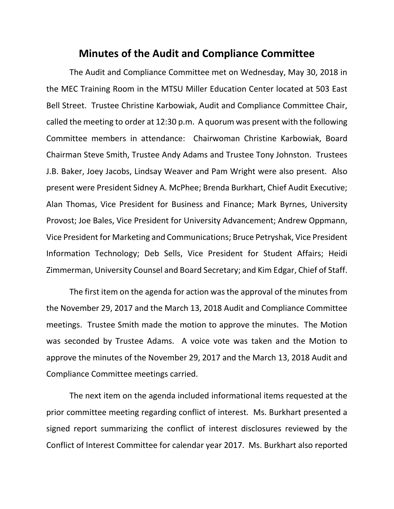## **Minutes of the Audit and Compliance Committee**

The Audit and Compliance Committee met on Wednesday, May 30, 2018 in the MEC Training Room in the MTSU Miller Education Center located at 503 East Bell Street. Trustee Christine Karbowiak, Audit and Compliance Committee Chair, called the meeting to order at 12:30 p.m. A quorum was present with the following Committee members in attendance: Chairwoman Christine Karbowiak, Board Chairman Steve Smith, Trustee Andy Adams and Trustee Tony Johnston. Trustees J.B. Baker, Joey Jacobs, Lindsay Weaver and Pam Wright were also present. Also present were President Sidney A. McPhee; Brenda Burkhart, Chief Audit Executive; Alan Thomas, Vice President for Business and Finance; Mark Byrnes, University Provost; Joe Bales, Vice President for University Advancement; Andrew Oppmann, Vice President for Marketing and Communications; Bruce Petryshak, Vice President Information Technology; Deb Sells, Vice President for Student Affairs; Heidi Zimmerman, University Counsel and Board Secretary; and Kim Edgar, Chief of Staff.

The first item on the agenda for action was the approval of the minutes from the November 29, 2017 and the March 13, 2018 Audit and Compliance Committee meetings. Trustee Smith made the motion to approve the minutes. The Motion was seconded by Trustee Adams. A voice vote was taken and the Motion to approve the minutes of the November 29, 2017 and the March 13, 2018 Audit and Compliance Committee meetings carried.

The next item on the agenda included informational items requested at the prior committee meeting regarding conflict of interest. Ms. Burkhart presented a signed report summarizing the conflict of interest disclosures reviewed by the Conflict of Interest Committee for calendar year 2017. Ms. Burkhart also reported